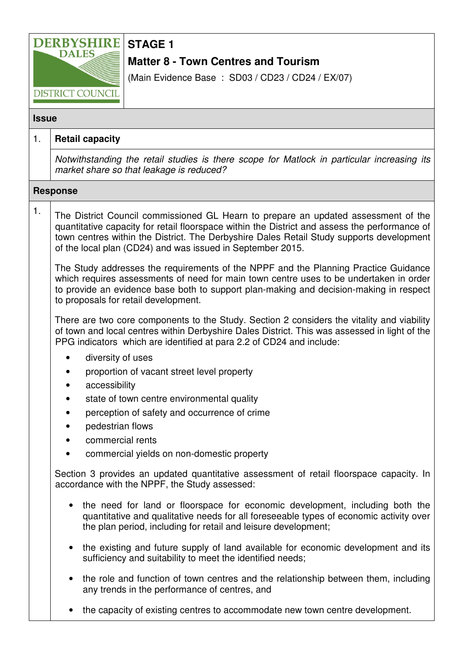

# **Matter 8 - Town Centres and Tourism**

(Main Evidence Base : SD03 / CD23 / CD24 / EX/07)

| <b>Issue</b>   |                                                                                                                                                                                                                                                                                                                                               |
|----------------|-----------------------------------------------------------------------------------------------------------------------------------------------------------------------------------------------------------------------------------------------------------------------------------------------------------------------------------------------|
| 1.             | <b>Retail capacity</b>                                                                                                                                                                                                                                                                                                                        |
|                | Notwithstanding the retail studies is there scope for Matlock in particular increasing its<br>market share so that leakage is reduced?                                                                                                                                                                                                        |
|                | <b>Response</b>                                                                                                                                                                                                                                                                                                                               |
| $\mathbf{1}$ . | The District Council commissioned GL Hearn to prepare an updated assessment of the<br>quantitative capacity for retail floorspace within the District and assess the performance of<br>town centres within the District. The Derbyshire Dales Retail Study supports development<br>of the local plan (CD24) and was issued in September 2015. |
|                | The Study addresses the requirements of the NPPF and the Planning Practice Guidance<br>which requires assessments of need for main town centre uses to be undertaken in order<br>to provide an evidence base both to support plan-making and decision-making in respect<br>to proposals for retail development.                               |
|                | There are two core components to the Study. Section 2 considers the vitality and viability<br>of town and local centres within Derbyshire Dales District. This was assessed in light of the<br>PPG indicators which are identified at para 2.2 of CD24 and include:                                                                           |
|                | diversity of uses                                                                                                                                                                                                                                                                                                                             |
|                | proportion of vacant street level property                                                                                                                                                                                                                                                                                                    |
|                | accessibility<br>$\bullet$                                                                                                                                                                                                                                                                                                                    |
|                | state of town centre environmental quality<br>$\bullet$                                                                                                                                                                                                                                                                                       |
|                | perception of safety and occurrence of crime<br>٠                                                                                                                                                                                                                                                                                             |
|                | pedestrian flows<br>$\bullet$                                                                                                                                                                                                                                                                                                                 |
|                | commercial rents<br>$\bullet$                                                                                                                                                                                                                                                                                                                 |
|                | commercial yields on non-domestic property                                                                                                                                                                                                                                                                                                    |
|                | Section 3 provides an updated quantitative assessment of retail floorspace capacity. In<br>accordance with the NPPF, the Study assessed:                                                                                                                                                                                                      |
|                | • the need for land or floorspace for economic development, including both the<br>quantitative and qualitative needs for all foreseeable types of economic activity over<br>the plan period, including for retail and leisure development;                                                                                                    |
|                | the existing and future supply of land available for economic development and its<br>sufficiency and suitability to meet the identified needs;                                                                                                                                                                                                |
|                | the role and function of town centres and the relationship between them, including<br>$\bullet$<br>any trends in the performance of centres, and                                                                                                                                                                                              |
|                | the capacity of existing centres to accommodate new town centre development.                                                                                                                                                                                                                                                                  |
|                |                                                                                                                                                                                                                                                                                                                                               |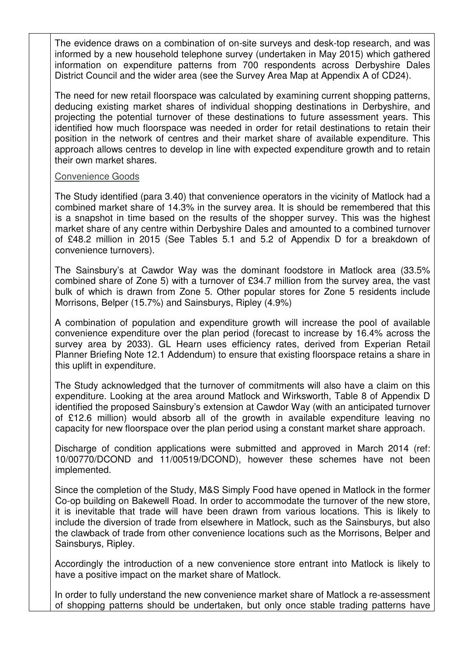The evidence draws on a combination of on-site surveys and desk-top research, and was informed by a new household telephone survey (undertaken in May 2015) which gathered information on expenditure patterns from 700 respondents across Derbyshire Dales District Council and the wider area (see the Survey Area Map at Appendix A of CD24).

The need for new retail floorspace was calculated by examining current shopping patterns, deducing existing market shares of individual shopping destinations in Derbyshire, and projecting the potential turnover of these destinations to future assessment years. This identified how much floorspace was needed in order for retail destinations to retain their position in the network of centres and their market share of available expenditure. This approach allows centres to develop in line with expected expenditure growth and to retain their own market shares.

#### Convenience Goods

The Study identified (para 3.40) that convenience operators in the vicinity of Matlock had a combined market share of 14.3% in the survey area. It is should be remembered that this is a snapshot in time based on the results of the shopper survey. This was the highest market share of any centre within Derbyshire Dales and amounted to a combined turnover of £48.2 million in 2015 (See Tables 5.1 and 5.2 of Appendix D for a breakdown of convenience turnovers).

The Sainsbury's at Cawdor Way was the dominant foodstore in Matlock area (33.5% combined share of Zone 5) with a turnover of £34.7 million from the survey area, the vast bulk of which is drawn from Zone 5. Other popular stores for Zone 5 residents include Morrisons, Belper (15.7%) and Sainsburys, Ripley (4.9%)

A combination of population and expenditure growth will increase the pool of available convenience expenditure over the plan period (forecast to increase by 16.4% across the survey area by 2033). GL Hearn uses efficiency rates, derived from Experian Retail Planner Briefing Note 12.1 Addendum) to ensure that existing floorspace retains a share in this uplift in expenditure.

The Study acknowledged that the turnover of commitments will also have a claim on this expenditure. Looking at the area around Matlock and Wirksworth, Table 8 of Appendix D identified the proposed Sainsbury's extension at Cawdor Way (with an anticipated turnover of £12.6 million) would absorb all of the growth in available expenditure leaving no capacity for new floorspace over the plan period using a constant market share approach.

Discharge of condition applications were submitted and approved in March 2014 (ref: 10/00770/DCOND and 11/00519/DCOND), however these schemes have not been implemented.

Since the completion of the Study, M&S Simply Food have opened in Matlock in the former Co-op building on Bakewell Road. In order to accommodate the turnover of the new store, it is inevitable that trade will have been drawn from various locations. This is likely to include the diversion of trade from elsewhere in Matlock, such as the Sainsburys, but also the clawback of trade from other convenience locations such as the Morrisons, Belper and Sainsburys, Ripley.

Accordingly the introduction of a new convenience store entrant into Matlock is likely to have a positive impact on the market share of Matlock.

In order to fully understand the new convenience market share of Matlock a re-assessment of shopping patterns should be undertaken, but only once stable trading patterns have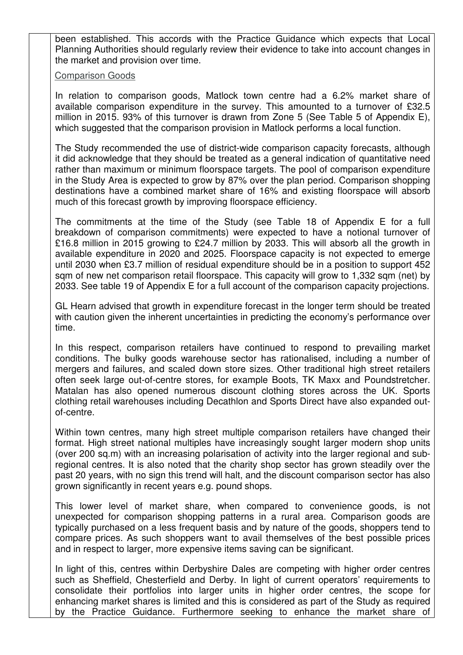been established. This accords with the Practice Guidance which expects that Local Planning Authorities should regularly review their evidence to take into account changes in the market and provision over time.

### **Comparison Goods**

In relation to comparison goods, Matlock town centre had a 6.2% market share of available comparison expenditure in the survey. This amounted to a turnover of £32.5 million in 2015. 93% of this turnover is drawn from Zone 5 (See Table 5 of Appendix E), which suggested that the comparison provision in Matlock performs a local function.

The Study recommended the use of district-wide comparison capacity forecasts, although it did acknowledge that they should be treated as a general indication of quantitative need rather than maximum or minimum floorspace targets. The pool of comparison expenditure in the Study Area is expected to grow by 87% over the plan period. Comparison shopping destinations have a combined market share of 16% and existing floorspace will absorb much of this forecast growth by improving floorspace efficiency.

The commitments at the time of the Study (see Table 18 of Appendix E for a full breakdown of comparison commitments) were expected to have a notional turnover of £16.8 million in 2015 growing to £24.7 million by 2033. This will absorb all the growth in available expenditure in 2020 and 2025. Floorspace capacity is not expected to emerge until 2030 when £3.7 million of residual expenditure should be in a position to support 452 sqm of new net comparison retail floorspace. This capacity will grow to 1,332 sqm (net) by 2033. See table 19 of Appendix E for a full account of the comparison capacity projections.

GL Hearn advised that growth in expenditure forecast in the longer term should be treated with caution given the inherent uncertainties in predicting the economy's performance over time.

In this respect, comparison retailers have continued to respond to prevailing market conditions. The bulky goods warehouse sector has rationalised, including a number of mergers and failures, and scaled down store sizes. Other traditional high street retailers often seek large out-of-centre stores, for example Boots, TK Maxx and Poundstretcher. Matalan has also opened numerous discount clothing stores across the UK. Sports clothing retail warehouses including Decathlon and Sports Direct have also expanded outof-centre.

Within town centres, many high street multiple comparison retailers have changed their format. High street national multiples have increasingly sought larger modern shop units (over 200 sq.m) with an increasing polarisation of activity into the larger regional and subregional centres. It is also noted that the charity shop sector has grown steadily over the past 20 years, with no sign this trend will halt, and the discount comparison sector has also grown significantly in recent years e.g. pound shops.

This lower level of market share, when compared to convenience goods, is not unexpected for comparison shopping patterns in a rural area. Comparison goods are typically purchased on a less frequent basis and by nature of the goods, shoppers tend to compare prices. As such shoppers want to avail themselves of the best possible prices and in respect to larger, more expensive items saving can be significant.

In light of this, centres within Derbyshire Dales are competing with higher order centres such as Sheffield, Chesterfield and Derby. In light of current operators' requirements to consolidate their portfolios into larger units in higher order centres, the scope for enhancing market shares is limited and this is considered as part of the Study as required by the Practice Guidance. Furthermore seeking to enhance the market share of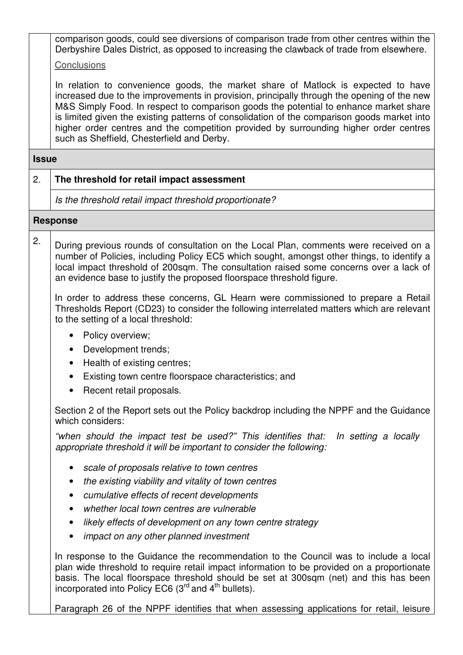comparison goods, could see diversions of comparison trade from other centres within the Derbyshire Dales District, as opposed to increasing the clawback of trade from elsewhere.

**Conclusions** 

In relation to convenience goods, the market share of Matlock is expected to have increased due to the improvements in provision, principally through the opening of the new M&S Simply Food. In respect to comparison goods the potential to enhance market share is limited given the existing patterns of consolidation of the comparison goods market into higher order centres and the competition provided by surrounding higher order centres such as Sheffield, Chesterfield and Derby.

#### **Issue**

## 2. **The threshold for retail impact assessment**

Is the threshold retail impact threshold proportionate?

**Response**

2. During previous rounds of consultation on the Local Plan, comments were received on a number of Policies, including Policy EC5 which sought, amongst other things, to identify a local impact threshold of 200sqm. The consultation raised some concerns over a lack of an evidence base to justify the proposed floorspace threshold figure.

In order to address these concerns, GL Hearn were commissioned to prepare a Retail Thresholds Report (CD23) to consider the following interrelated matters which are relevant to the setting of a local threshold:

- Policy overview;
- Development trends;
- Health of existing centres;
- Existing town centre floorspace characteristics; and
- Recent retail proposals.

Section 2 of the Report sets out the Policy backdrop including the NPPF and the Guidance which considers:

"when should the impact test be used?" This identifies that: In setting a locally appropriate threshold it will be important to consider the following:

- scale of proposals relative to town centres
- the existing viability and vitality of town centres
- cumulative effects of recent developments
- whether local town centres are vulnerable
- likely effects of development on any town centre strategy
- *impact on any other planned investment*

In response to the Guidance the recommendation to the Council was to include a local plan wide threshold to require retail impact information to be provided on a proportionate basis. The local floorspace threshold should be set at 300sqm (net) and this has been incorporated into Policy EC6  $(3<sup>rd</sup>$  and  $4<sup>th</sup>$  bullets).

Paragraph 26 of the NPPF identifies that when assessing applications for retail, leisure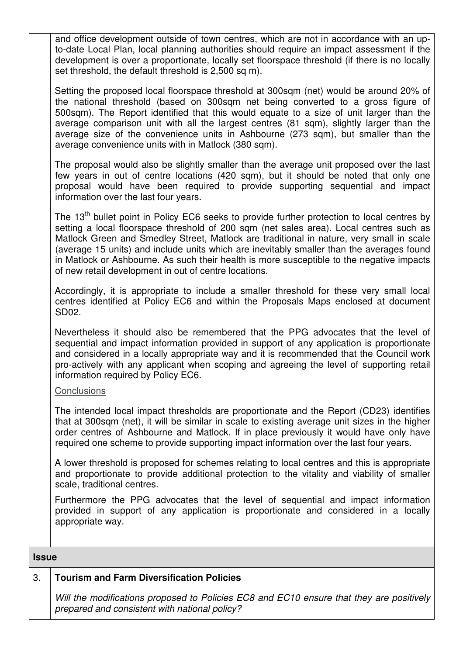and office development outside of town centres, which are not in accordance with an upto-date Local Plan, local planning authorities should require an impact assessment if the development is over a proportionate, locally set floorspace threshold (if there is no locally set threshold, the default threshold is 2,500 sq m).

Setting the proposed local floorspace threshold at 300sqm (net) would be around 20% of the national threshold (based on 300sqm net being converted to a gross figure of 500sqm). The Report identified that this would equate to a size of unit larger than the average comparison unit with all the largest centres (81 sqm), slightly larger than the average size of the convenience units in Ashbourne (273 sqm), but smaller than the average convenience units with in Matlock (380 sqm).

The proposal would also be slightly smaller than the average unit proposed over the last few years in out of centre locations (420 sqm), but it should be noted that only one proposal would have been required to provide supporting sequential and impact information over the last four years.

The 13<sup>th</sup> bullet point in Policy EC6 seeks to provide further protection to local centres by setting a local floorspace threshold of 200 sqm (net sales area). Local centres such as Matlock Green and Smedley Street, Matlock are traditional in nature, very small in scale (average 15 units) and include units which are inevitably smaller than the averages found in Matlock or Ashbourne. As such their health is more susceptible to the negative impacts of new retail development in out of centre locations.

Accordingly, it is appropriate to include a smaller threshold for these very small local centres identified at Policy EC6 and within the Proposals Maps enclosed at document SD02.

Nevertheless it should also be remembered that the PPG advocates that the level of sequential and impact information provided in support of any application is proportionate and considered in a locally appropriate way and it is recommended that the Council work pro-actively with any applicant when scoping and agreeing the level of supporting retail information required by Policy EC6.

#### **Conclusions**

The intended local impact thresholds are proportionate and the Report (CD23) identifies that at 300sqm (net), it will be similar in scale to existing average unit sizes in the higher order centres of Ashbourne and Matlock. If in place previously it would have only have required one scheme to provide supporting impact information over the last four years.

A lower threshold is proposed for schemes relating to local centres and this is appropriate and proportionate to provide additional protection to the vitality and viability of smaller scale, traditional centres.

Furthermore the PPG advocates that the level of sequential and impact information provided in support of any application is proportionate and considered in a locally appropriate way.

#### **Issue**

### 3. **Tourism and Farm Diversification Policies**

Will the modifications proposed to Policies EC8 and EC10 ensure that they are positively prepared and consistent with national policy?